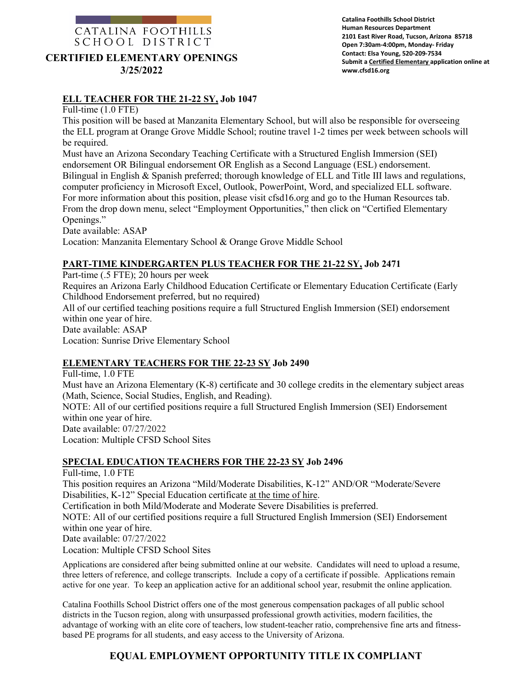# CATALINA FOOTHILLS SCHOOL DISTRICT **CERTIFIED ELEMENTARY OPENINGS 3/25/2022**

# **ELL TEACHER FOR THE 21-22 SY, Job 1047**

Full-time (1.0 FTE)

This position will be based at Manzanita Elementary School, but will also be responsible for overseeing the ELL program at Orange Grove Middle School; routine travel 1-2 times per week between schools will be required.

Must have an Arizona Secondary Teaching Certificate with a Structured English Immersion (SEI) endorsement OR Bilingual endorsement OR English as a Second Language (ESL) endorsement. Bilingual in English & Spanish preferred; thorough knowledge of ELL and Title III laws and regulations, computer proficiency in Microsoft Excel, Outlook, PowerPoint, Word, and specialized ELL software. For more information about this position, please visit cfsd16.org and go to the Human Resources tab. From the drop down menu, select "Employment Opportunities," then click on "Certified Elementary Openings."

Date available: ASAP

Location: Manzanita Elementary School & Orange Grove Middle School

### **PART-TIME KINDERGARTEN PLUS TEACHER FOR THE 21-22 SY, Job 2471**

Part-time (.5 FTE); 20 hours per week

Requires an Arizona Early Childhood Education Certificate or Elementary Education Certificate (Early Childhood Endorsement preferred, but no required)

All of our certified teaching positions require a full Structured English Immersion (SEI) endorsement within one year of hire. Date available: ASAP

Location: Sunrise Drive Elementary School

#### **ELEMENTARY TEACHERS FOR THE 22-23 SY Job 2490**

Full-time, 1.0 FTE Must have an Arizona Elementary (K-8) certificate and 30 college credits in the elementary subject areas (Math, Science, Social Studies, English, and Reading). NOTE: All of our certified positions require a full Structured English Immersion (SEI) Endorsement within one year of hire. Date available: 07/27/2022 Location: Multiple CFSD School Sites

#### **SPECIAL EDUCATION TEACHERS FOR THE 22-23 SY Job 2496**

Full-time, 1.0 FTE This position requires an Arizona "Mild/Moderate Disabilities, K-12" AND/OR "Moderate/Severe Disabilities, K-12" Special Education certificate at the time of hire. Certification in both Mild/Moderate and Moderate Severe Disabilities is preferred. NOTE: All of our certified positions require a full Structured English Immersion (SEI) Endorsement within one year of hire. Date available: 07/27/2022 Location: Multiple CFSD School Sites

Applications are considered after being submitted online at our website. Candidates will need to upload a resume, three letters of reference, and college transcripts. Include a copy of a certificate if possible. Applications remain active for one year. To keep an application active for an additional school year, resubmit the online application.

Catalina Foothills School District offers one of the most generous compensation packages of all public school districts in the Tucson region, along with unsurpassed professional growth activities, modern facilities, the advantage of working with an elite core of teachers, low student-teacher ratio, comprehensive fine arts and fitnessbased PE programs for all students, and easy access to the University of Arizona.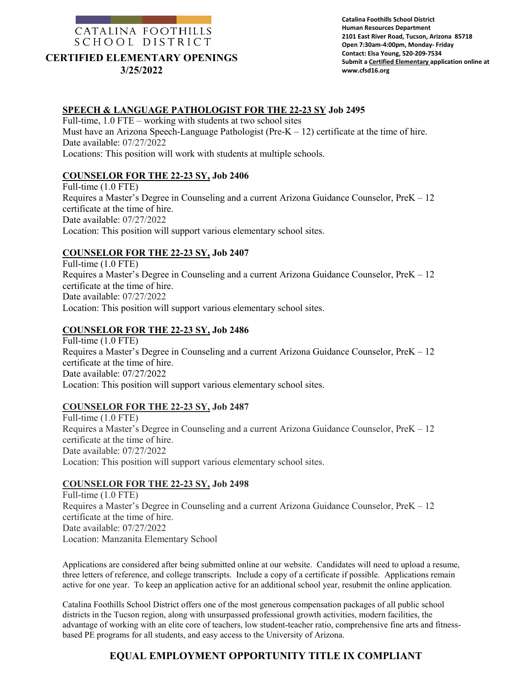

#### **CERTIFIED ELEMENTARY OPENINGS 3/25/2022**

# **SPEECH & LANGUAGE PATHOLOGIST FOR THE 22-23 SY Job 2495**

Full-time, 1.0 FTE – working with students at two school sites Must have an Arizona Speech-Language Pathologist (Pre- $K - 12$ ) certificate at the time of hire. Date available: 07/27/2022 Locations: This position will work with students at multiple schools.

# **COUNSELOR FOR THE 22-23 SY, Job 2406**

Full-time (1.0 FTE) Requires a Master's Degree in Counseling and a current Arizona Guidance Counselor, PreK – 12 certificate at the time of hire. Date available: 07/27/2022 Location: This position will support various elementary school sites.

# **COUNSELOR FOR THE 22-23 SY, Job 2407**

Full-time (1.0 FTE) Requires a Master's Degree in Counseling and a current Arizona Guidance Counselor, PreK – 12 certificate at the time of hire. Date available: 07/27/2022 Location: This position will support various elementary school sites.

### **COUNSELOR FOR THE 22-23 SY, Job 2486**

Full-time (1.0 FTE) Requires a Master's Degree in Counseling and a current Arizona Guidance Counselor, PreK – 12 certificate at the time of hire. Date available: 07/27/2022 Location: This position will support various elementary school sites.

# **COUNSELOR FOR THE 22-23 SY, Job 2487**

Full-time (1.0 FTE) Requires a Master's Degree in Counseling and a current Arizona Guidance Counselor, PreK – 12 certificate at the time of hire. Date available: 07/27/2022 Location: This position will support various elementary school sites.

# **COUNSELOR FOR THE 22-23 SY, Job 2498**

Full-time (1.0 FTE) Requires a Master's Degree in Counseling and a current Arizona Guidance Counselor, PreK – 12 certificate at the time of hire. Date available: 07/27/2022 Location: Manzanita Elementary School

Applications are considered after being submitted online at our website. Candidates will need to upload a resume, three letters of reference, and college transcripts. Include a copy of a certificate if possible. Applications remain active for one year. To keep an application active for an additional school year, resubmit the online application.

Catalina Foothills School District offers one of the most generous compensation packages of all public school districts in the Tucson region, along with unsurpassed professional growth activities, modern facilities, the advantage of working with an elite core of teachers, low student-teacher ratio, comprehensive fine arts and fitnessbased PE programs for all students, and easy access to the University of Arizona.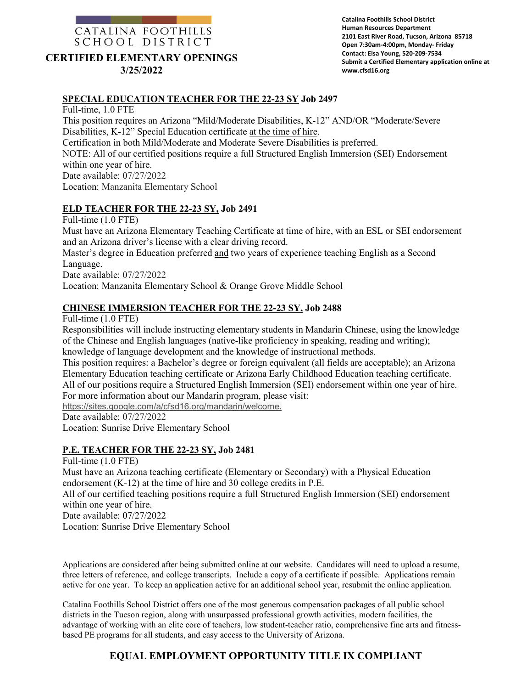# CATALINA FOOTHILLS SCHOOL DISTRICT **CERTIFIED ELEMENTARY OPENINGS**

**3/25/2022**

### **SPECIAL EDUCATION TEACHER FOR THE 22-23 SY Job 2497**

Full-time, 1.0 FTE This position requires an Arizona "Mild/Moderate Disabilities, K-12" AND/OR "Moderate/Severe Disabilities, K-12" Special Education certificate at the time of hire. Certification in both Mild/Moderate and Moderate Severe Disabilities is preferred. NOTE: All of our certified positions require a full Structured English Immersion (SEI) Endorsement within one year of hire. Date available: 07/27/2022 Location: Manzanita Elementary School

### **ELD TEACHER FOR THE 22-23 SY, Job 2491**

Full-time (1.0 FTE)

Must have an Arizona Elementary Teaching Certificate at time of hire, with an ESL or SEI endorsement and an Arizona driver's license with a clear driving record.

Master's degree in Education preferred and two years of experience teaching English as a Second Language.

Date available: 07/27/2022

Location: Manzanita Elementary School & Orange Grove Middle School

### **CHINESE IMMERSION TEACHER FOR THE 22-23 SY, Job 2488**

Full-time (1.0 FTE)

Responsibilities will include instructing elementary students in Mandarin Chinese, using the knowledge of the Chinese and English languages (native-like proficiency in speaking, reading and writing); knowledge of language development and the knowledge of instructional methods.

This position requires: a Bachelor's degree or foreign equivalent (all fields are acceptable); an Arizona Elementary Education teaching certificate or Arizona Early Childhood Education teaching certificate. All of our positions require a Structured English Immersion (SEI) endorsement within one year of hire.

For more information about our Mandarin program, please visit:

[https://sites.google.com/a/cfsd16.org/mandarin/welcome.](https://sites.google.com/a/cfsd16.org/mandarin/welcome)

Date available: 07/27/2022

Location: Sunrise Drive Elementary School

# **P.E. TEACHER FOR THE 22-23 SY, Job 2481**

Full-time (1.0 FTE)

Must have an Arizona teaching certificate (Elementary or Secondary) with a Physical Education endorsement (K-12) at the time of hire and 30 college credits in P.E.

All of our certified teaching positions require a full Structured English Immersion (SEI) endorsement within one year of hire.

Date available: 07/27/2022

Location: Sunrise Drive Elementary School

Applications are considered after being submitted online at our website. Candidates will need to upload a resume, three letters of reference, and college transcripts. Include a copy of a certificate if possible. Applications remain active for one year. To keep an application active for an additional school year, resubmit the online application.

Catalina Foothills School District offers one of the most generous compensation packages of all public school districts in the Tucson region, along with unsurpassed professional growth activities, modern facilities, the advantage of working with an elite core of teachers, low student-teacher ratio, comprehensive fine arts and fitnessbased PE programs for all students, and easy access to the University of Arizona.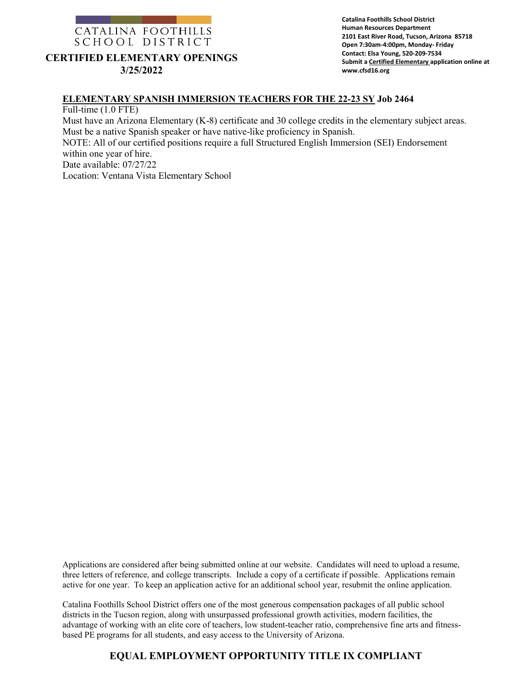

# **CERTIFIED ELEMENTARY OPENINGS 3/25/2022**

**Catalina Foothills School District Human Resources Department 2101 East River Road, Tucson, Arizona 85718 Open 7:30am-4:00pm, Monday- Friday Contact: Elsa Young, 520-209-7534 Submit a Certified Elementary application online at www.cfsd16.org**

#### **ELEMENTARY SPANISH IMMERSION TEACHERS FOR THE 22-23 SY Job 2464**

Full-time (1.0 FTE)

Must have an Arizona Elementary (K-8) certificate and 30 college credits in the elementary subject areas. Must be a native Spanish speaker or have native-like proficiency in Spanish.

NOTE: All of our certified positions require a full Structured English Immersion (SEI) Endorsement within one year of hire.

Date available: 07/27/22

Location: Ventana Vista Elementary School

Applications are considered after being submitted online at our website. Candidates will need to upload a resume, three letters of reference, and college transcripts. Include a copy of a certificate if possible. Applications remain active for one year. To keep an application active for an additional school year, resubmit the online application.

Catalina Foothills School District offers one of the most generous compensation packages of all public school districts in the Tucson region, along with unsurpassed professional growth activities, modern facilities, the advantage of working with an elite core of teachers, low student-teacher ratio, comprehensive fine arts and fitnessbased PE programs for all students, and easy access to the University of Arizona.